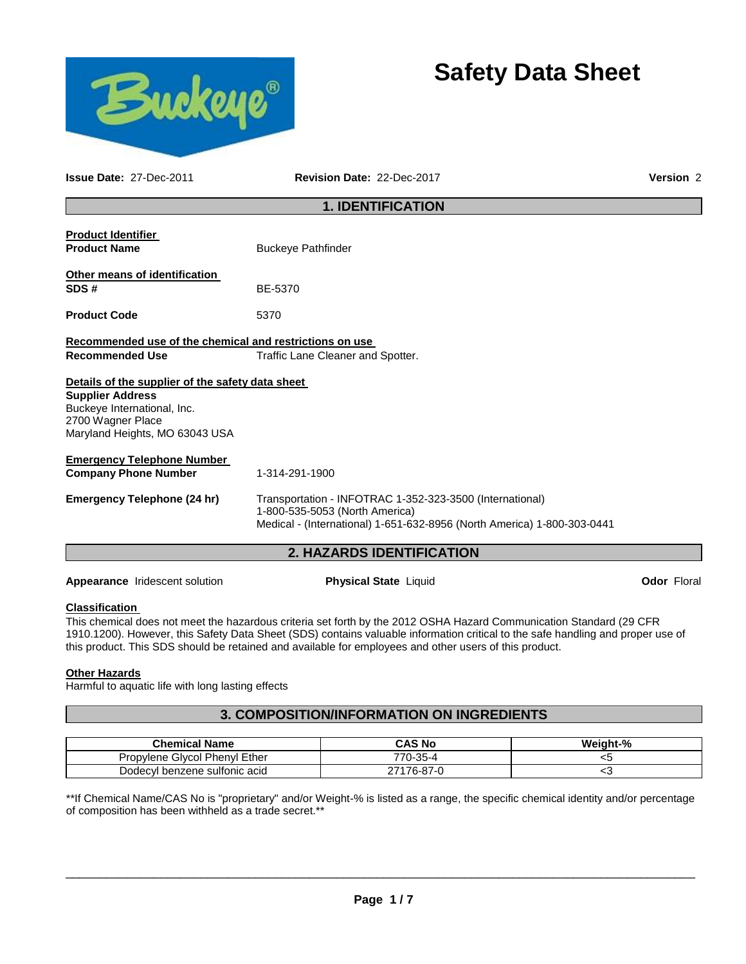



**Issue Date:** 27-Dec-2011 **Revision Date:** 22-Dec-2017 **Version** 2

# **1. IDENTIFICATION**

| <b>Product Identifier</b><br><b>Product Name</b>                                                                                                                  | <b>Buckeye Pathfinder</b>                                                                                                                                             |  |  |  |
|-------------------------------------------------------------------------------------------------------------------------------------------------------------------|-----------------------------------------------------------------------------------------------------------------------------------------------------------------------|--|--|--|
| Other means of identification<br>SDS#                                                                                                                             | BE-5370                                                                                                                                                               |  |  |  |
| <b>Product Code</b>                                                                                                                                               | 5370                                                                                                                                                                  |  |  |  |
| Recommended use of the chemical and restrictions on use<br><b>Recommended Use</b>                                                                                 | Traffic Lane Cleaner and Spotter.                                                                                                                                     |  |  |  |
| Details of the supplier of the safety data sheet<br><b>Supplier Address</b><br>Buckeye International, Inc.<br>2700 Wagner Place<br>Maryland Heights, MO 63043 USA |                                                                                                                                                                       |  |  |  |
| <b>Emergency Telephone Number</b><br><b>Company Phone Number</b>                                                                                                  | 1-314-291-1900                                                                                                                                                        |  |  |  |
| <b>Emergency Telephone (24 hr)</b>                                                                                                                                | Transportation - INFOTRAC 1-352-323-3500 (International)<br>1-800-535-5053 (North America)<br>Medical - (International) 1-651-632-8956 (North America) 1-800-303-0441 |  |  |  |
|                                                                                                                                                                   | <b>2. HAZARDS IDENTIFICATION</b>                                                                                                                                      |  |  |  |

**Appearance** Iridescent solution **Physical State** Liquid **Odor** Floral

# **Classification**

This chemical does not meet the hazardous criteria set forth by the 2012 OSHA Hazard Communication Standard (29 CFR 1910.1200). However, this Safety Data Sheet (SDS) contains valuable information critical to the safe handling and proper use of this product. This SDS should be retained and available for employees and other users of this product.

## **Other Hazards**

Harmful to aquatic life with long lasting effects

# **3. COMPOSITION/INFORMATION ON INGREDIENTS**

| <b>Chemical Name</b>          | <b>CAS No</b>   | Weight-% |
|-------------------------------|-----------------|----------|
| Propylene Glycol Phenyl Ether | 770-35-4        | ت>       |
| Dodecyl benzene sulfonic acid | 176-87-0<br>ヘフィ | ີ        |

\*\*If Chemical Name/CAS No is "proprietary" and/or Weight-% is listed as a range, the specific chemical identity and/or percentage of composition has been withheld as a trade secret.\*\*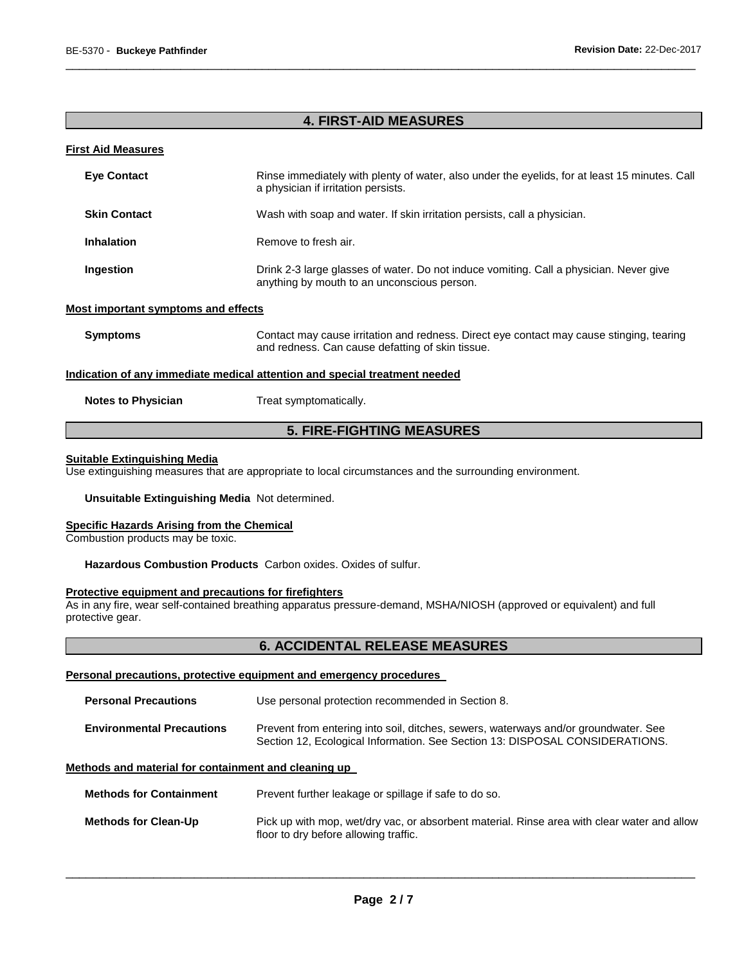# **4. FIRST-AID MEASURES**

\_\_\_\_\_\_\_\_\_\_\_\_\_\_\_\_\_\_\_\_\_\_\_\_\_\_\_\_\_\_\_\_\_\_\_\_\_\_\_\_\_\_\_\_\_\_\_\_\_\_\_\_\_\_\_\_\_\_\_\_\_\_\_\_\_\_\_\_\_\_\_\_\_\_\_\_\_\_\_\_\_\_\_\_\_\_\_\_\_\_\_\_\_

## **First Aid Measures**

| <b>Eve Contact</b>                                                         | Rinse immediately with plenty of water, also under the eyelids, for at least 15 minutes. Call<br>a physician if irritation persists.         |  |
|----------------------------------------------------------------------------|----------------------------------------------------------------------------------------------------------------------------------------------|--|
| <b>Skin Contact</b>                                                        | Wash with soap and water. If skin irritation persists, call a physician.                                                                     |  |
| <b>Inhalation</b>                                                          | Remove to fresh air.                                                                                                                         |  |
| Ingestion                                                                  | Drink 2-3 large glasses of water. Do not induce vomiting. Call a physician. Never give<br>anything by mouth to an unconscious person.        |  |
| <b>Most important symptoms and effects</b>                                 |                                                                                                                                              |  |
| <b>Symptoms</b>                                                            | Contact may cause irritation and redness. Direct eye contact may cause stinging, tearing<br>and redness. Can cause defatting of skin tissue. |  |
| Indication of any immediate medical attention and special treatment needed |                                                                                                                                              |  |
| <b>Notes to Physician</b>                                                  | Treat symptomatically.                                                                                                                       |  |

# **5. FIRE-FIGHTING MEASURES**

## **Suitable Extinguishing Media**

Use extinguishing measures that are appropriate to local circumstances and the surrounding environment.

## **Unsuitable Extinguishing Media** Not determined.

## **Specific Hazards Arising from the Chemical**

Combustion products may be toxic.

**Hazardous Combustion Products** Carbon oxides. Oxides of sulfur.

## **Protective equipment and precautions for firefighters**

As in any fire, wear self-contained breathing apparatus pressure-demand, MSHA/NIOSH (approved or equivalent) and full protective gear.

# **6. ACCIDENTAL RELEASE MEASURES**

#### **Personal precautions, protective equipment and emergency procedures**

| <b>Personal Precautions</b>      | Use personal protection recommended in Section 8.                                                                                                                   |  |
|----------------------------------|---------------------------------------------------------------------------------------------------------------------------------------------------------------------|--|
| <b>Environmental Precautions</b> | Prevent from entering into soil, ditches, sewers, waterways and/or groundwater. See<br>Section 12, Ecological Information. See Section 13: DISPOSAL CONSIDERATIONS. |  |

## **Methods and material for containment and cleaning up**

**Methods for Containment** Prevent further leakage or spillage if safe to do so.

**Methods for Clean-Up** Pick up with mop, wet/dry vac, or absorbent material. Rinse area with clear water and allow floor to dry before allowing traffic.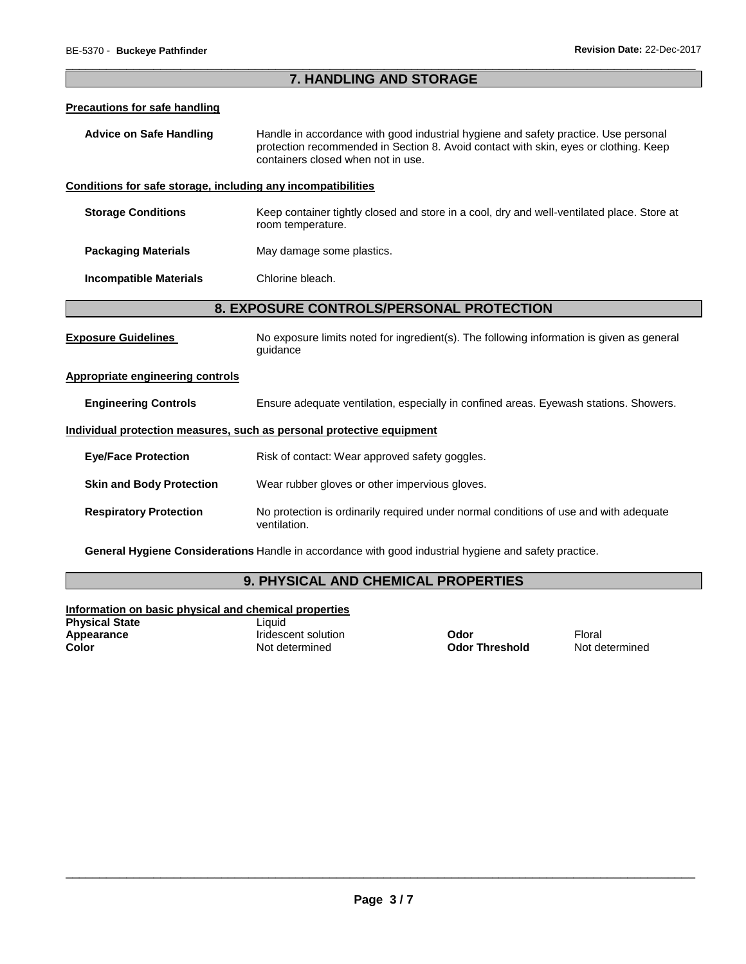## \_\_\_\_\_\_\_\_\_\_\_\_\_\_\_\_\_\_\_\_\_\_\_\_\_\_\_\_\_\_\_\_\_\_\_\_\_\_\_\_\_\_\_\_\_\_\_\_\_\_\_\_\_\_\_\_\_\_\_\_\_\_\_\_\_\_\_\_\_\_\_\_\_\_\_\_\_\_\_\_\_\_\_\_\_\_\_\_\_\_\_\_\_ **7. HANDLING AND STORAGE**

## **Precautions for safe handling**

**Advice on Safe Handling** Handle in accordance with good industrial hygiene and safety practice. Use personal protection recommended in Section 8. Avoid contact with skin, eyes or clothing. Keep containers closed when not in use.

## **Conditions for safe storage, including any incompatibilities**

- **Storage Conditions** Keep container tightly closed and store in a cool, dry and well-ventilated place. Store at room temperature.
- **Packaging Materials May damage some plastics.**

## **Incompatible Materials** Chlorine bleach.

# **8. EXPOSURE CONTROLS/PERSONAL PROTECTION**

**Exposure Guidelines** No exposure limits noted for ingredient(s). The following information is given as general guidance

## **Appropriate engineering controls**

**Engineering Controls** Ensure adequate ventilation, especially in confined areas. Eyewash stations. Showers.

## **Individual protection measures, such as personal protective equipment**

| <b>Eye/Face Protection</b>      | Risk of contact: Wear approved safety goggles.                                                        |
|---------------------------------|-------------------------------------------------------------------------------------------------------|
| <b>Skin and Body Protection</b> | Wear rubber gloves or other impervious gloves.                                                        |
| <b>Respiratory Protection</b>   | No protection is ordinarily required under normal conditions of use and with adequate<br>ventilation. |

**General Hygiene Considerations** Handle in accordance with good industrial hygiene and safety practice.

# **9. PHYSICAL AND CHEMICAL PROPERTIES**

**Information on basic physical and chemical properties Physical State Contract Contract Contract Contract Contract Contract Contract Contract Contract Contract Contract Contract Contract Contract Contract Contract Contract Contract Contract Contract Contract Contract Contra** 

**Appearance** Iridescent solution **Odor** Floral

**Color** Not determined **Odor Threshold** Not determined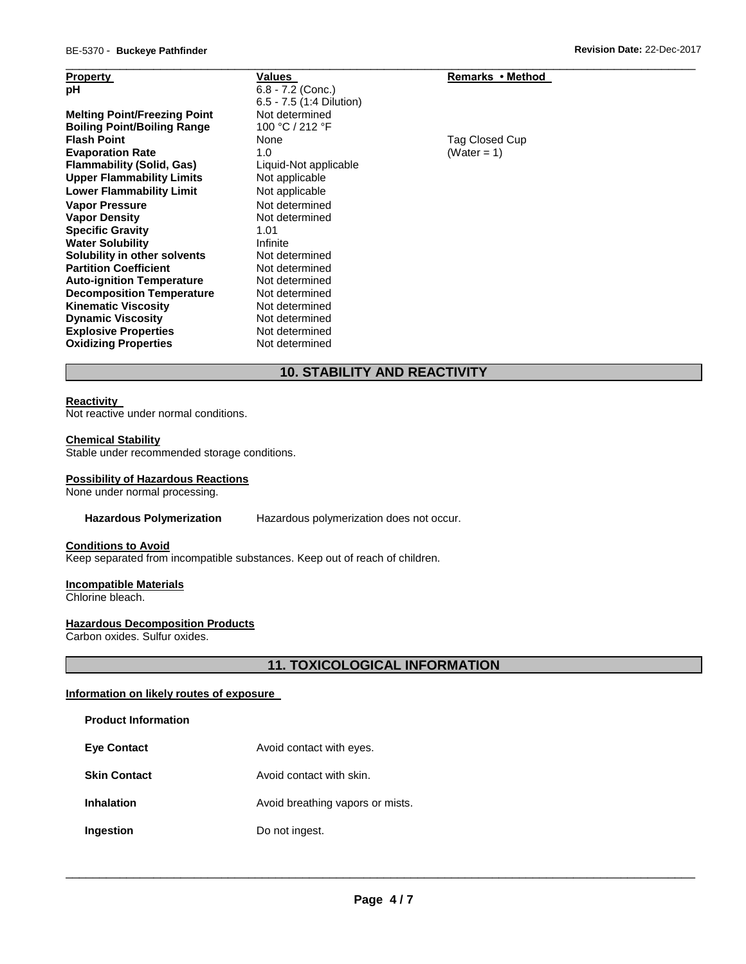| <b>Property</b>                     | Values                     | Remarks • Method |
|-------------------------------------|----------------------------|------------------|
| рH                                  | $6.8 - 7.2$ (Conc.)        |                  |
|                                     | $6.5 - 7.5$ (1:4 Dilution) |                  |
| <b>Melting Point/Freezing Point</b> | Not determined             |                  |
| <b>Boiling Point/Boiling Range</b>  | 100 °C / 212 °F            |                  |
| <b>Flash Point</b>                  | None                       | Tag Closed Cup   |
| <b>Evaporation Rate</b>             | 1.0                        | (Water = 1)      |
| <b>Flammability (Solid, Gas)</b>    | Liquid-Not applicable      |                  |
| <b>Upper Flammability Limits</b>    | Not applicable             |                  |
| <b>Lower Flammability Limit</b>     | Not applicable             |                  |
| <b>Vapor Pressure</b>               | Not determined             |                  |
| <b>Vapor Density</b>                | Not determined             |                  |
| <b>Specific Gravity</b>             | 1.01                       |                  |
| <b>Water Solubility</b>             | Infinite                   |                  |
| Solubility in other solvents        | Not determined             |                  |
| <b>Partition Coefficient</b>        | Not determined             |                  |
| <b>Auto-ignition Temperature</b>    | Not determined             |                  |
| <b>Decomposition Temperature</b>    | Not determined             |                  |
| <b>Kinematic Viscosity</b>          | Not determined             |                  |
| <b>Dynamic Viscosity</b>            | Not determined             |                  |
| <b>Explosive Properties</b>         | Not determined             |                  |
| <b>Oxidizing Properties</b>         | Not determined             |                  |
|                                     |                            |                  |

# **10. STABILITY AND REACTIVITY**

\_\_\_\_\_\_\_\_\_\_\_\_\_\_\_\_\_\_\_\_\_\_\_\_\_\_\_\_\_\_\_\_\_\_\_\_\_\_\_\_\_\_\_\_\_\_\_\_\_\_\_\_\_\_\_\_\_\_\_\_\_\_\_\_\_\_\_\_\_\_\_\_\_\_\_\_\_\_\_\_\_\_\_\_\_\_\_\_\_\_\_\_\_

## **Reactivity**

Not reactive under normal conditions.

## **Chemical Stability**

Stable under recommended storage conditions.

## **Possibility of Hazardous Reactions**

None under normal processing.

## **Hazardous Polymerization** Hazardous polymerization does not occur.

# **Conditions to Avoid**

Keep separated from incompatible substances. Keep out of reach of children.

## **Incompatible Materials**

Chlorine bleach.

# **Hazardous Decomposition Products**

Carbon oxides. Sulfur oxides.

**11. TOXICOLOGICAL INFORMATION** 

## **Information on likely routes of exposure**

| <b>Eye Contact</b> | Avoid contact with eyes. |
|--------------------|--------------------------|
|                    |                          |

- **Skin Contact Avoid contact with skin.**
- **Inhalation Avoid breathing vapors or mists.**
- **Ingestion Do not ingest.**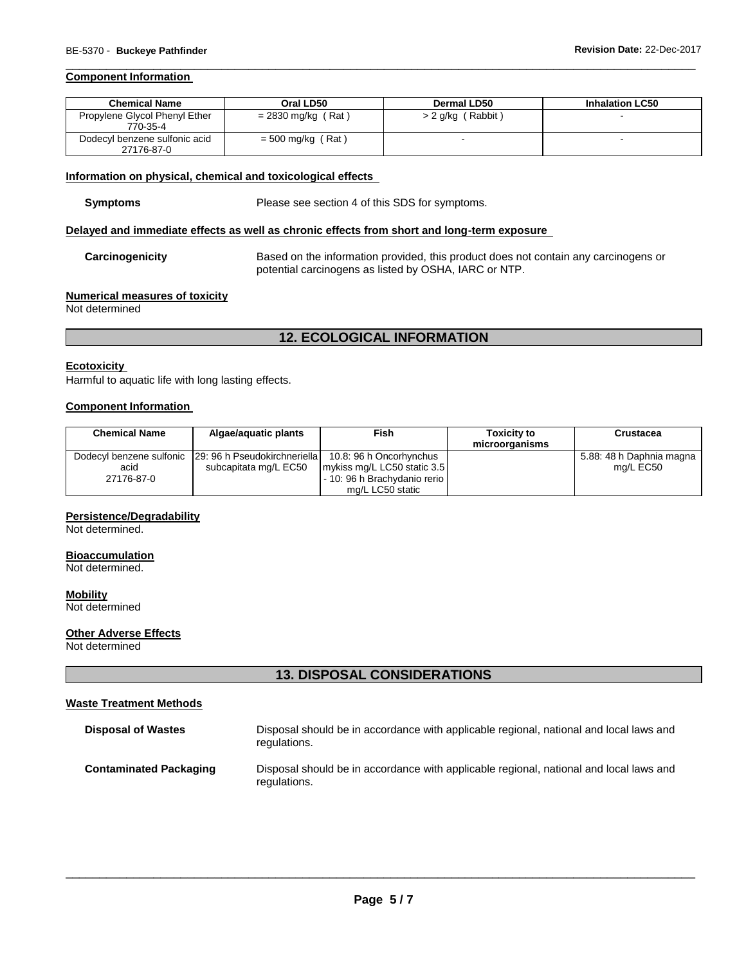## **Component Information**

| <b>Chemical Name</b>                        | Oral LD50            | Dermal LD50         | <b>Inhalation LC50</b> |
|---------------------------------------------|----------------------|---------------------|------------------------|
| Propylene Glycol Phenyl Ether<br>770-35-4   | $= 2830$ mg/kg (Rat) | $> 2$ g/kg (Rabbit) |                        |
| Dodecyl benzene sulfonic acid<br>27176-87-0 | $= 500$ mg/kg (Rat)  | -                   |                        |

\_\_\_\_\_\_\_\_\_\_\_\_\_\_\_\_\_\_\_\_\_\_\_\_\_\_\_\_\_\_\_\_\_\_\_\_\_\_\_\_\_\_\_\_\_\_\_\_\_\_\_\_\_\_\_\_\_\_\_\_\_\_\_\_\_\_\_\_\_\_\_\_\_\_\_\_\_\_\_\_\_\_\_\_\_\_\_\_\_\_\_\_\_

## **Information on physical, chemical and toxicological effects**

**Symptoms** Please see section 4 of this SDS for symptoms.

## **Delayed and immediate effects as well as chronic effects from short and long-term exposure**

**Carcinogenicity** Based on the information provided, this product does not contain any carcinogens or potential carcinogens as listed by OSHA, IARC or NTP.

## **Numerical measures of toxicity**

Not determined

# **12. ECOLOGICAL INFORMATION**

## **Ecotoxicity**

Harmful to aquatic life with long lasting effects.

## **Component Information**

| <b>Chemical Name</b> | Algae/aguatic plants                                    | Fish                         | <b>Toxicity to</b><br>microorganisms | <b>Crustacea</b>         |
|----------------------|---------------------------------------------------------|------------------------------|--------------------------------------|--------------------------|
|                      | Dodecyl benzene sulfonic   29: 96 h Pseudokirchneriella | 10.8: 96 h Oncorhynchus      |                                      | 5.88: 48 h Daphnia magna |
| acid                 | subcapitata mg/L EC50                                   | mykiss mg/L LC50 static 3.5  |                                      | mg/L EC50                |
| 27176-87-0           |                                                         | - 10: 96 h Brachydanio rerio |                                      |                          |
|                      |                                                         | mg/L LC50 static             |                                      |                          |

# **Persistence/Degradability**

Not determined.

## **Bioaccumulation**

Not determined.

**Mobility** Not determined

## **Other Adverse Effects**

Not determined

# **13. DISPOSAL CONSIDERATIONS**

## **Waste Treatment Methods**

| <b>Disposal of Wastes</b>     | Disposal should be in accordance with applicable regional, national and local laws and<br>regulations. |
|-------------------------------|--------------------------------------------------------------------------------------------------------|
| <b>Contaminated Packaging</b> | Disposal should be in accordance with applicable regional, national and local laws and<br>regulations. |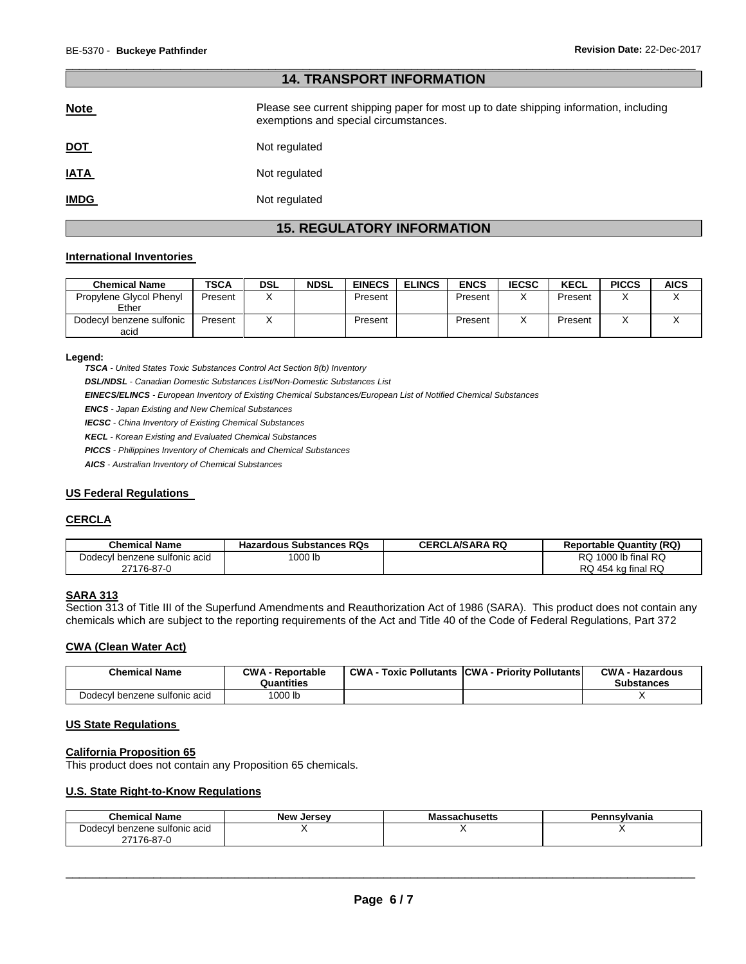| <b>14. TRANSPORT INFORMATION</b> |                                                                                                                                |  |
|----------------------------------|--------------------------------------------------------------------------------------------------------------------------------|--|
| <b>Note</b>                      | Please see current shipping paper for most up to date shipping information, including<br>exemptions and special circumstances. |  |
| <u>DOT</u>                       | Not regulated                                                                                                                  |  |
| <b>IATA</b>                      | Not regulated                                                                                                                  |  |
| <b>IMDG</b>                      | Not regulated                                                                                                                  |  |

\_\_\_\_\_\_\_\_\_\_\_\_\_\_\_\_\_\_\_\_\_\_\_\_\_\_\_\_\_\_\_\_\_\_\_\_\_\_\_\_\_\_\_\_\_\_\_\_\_\_\_\_\_\_\_\_\_\_\_\_\_\_\_\_\_\_\_\_\_\_\_\_\_\_\_\_\_\_\_\_\_\_\_\_\_\_\_\_\_\_\_\_\_

# **15. REGULATORY INFORMATION**

## **International Inventories**

| <b>Chemical Name</b>             | TSCA    | <b>DSL</b> | <b>NDSL</b> | <b>EINECS</b> | <b>ELINCS</b> | <b>ENCS</b> | <b>IECSC</b> | <b>KECL</b> | <b>PICCS</b> | <b>AICS</b> |
|----------------------------------|---------|------------|-------------|---------------|---------------|-------------|--------------|-------------|--------------|-------------|
| Propylene Glycol Phenyl<br>Ether | Present |            |             | Present       |               | Present     |              | Present     |              |             |
| Dodecyl benzene sulfonic<br>acid | Present |            |             | Present       |               | Present     |              | Present     |              |             |

**Legend:** 

*TSCA - United States Toxic Substances Control Act Section 8(b) Inventory* 

*DSL/NDSL - Canadian Domestic Substances List/Non-Domestic Substances List* 

*EINECS/ELINCS - European Inventory of Existing Chemical Substances/European List of Notified Chemical Substances* 

*ENCS - Japan Existing and New Chemical Substances* 

*IECSC - China Inventory of Existing Chemical Substances* 

*KECL - Korean Existing and Evaluated Chemical Substances* 

*PICCS - Philippines Inventory of Chemicals and Chemical Substances* 

*AICS - Australian Inventory of Chemical Substances* 

## **US Federal Regulations**

## **CERCLA**

| <b>Chemical Name</b>          | <b>Hazardous Substances RQs</b> | <b>CERCLA/SARA RQ</b> | <b>Reportable Quantity (RQ)</b> |
|-------------------------------|---------------------------------|-----------------------|---------------------------------|
| Dodecyl benzene sulfonic acid | <sup>1</sup> 000 lb             |                       | $1000$ lb final RQ<br>RQ.       |
| 27176-87-0                    |                                 |                       | RQ 454 kg final RQ              |

## **SARA 313**

Section 313 of Title III of the Superfund Amendments and Reauthorization Act of 1986 (SARA). This product does not contain any chemicals which are subject to the reporting requirements of the Act and Title 40 of the Code of Federal Regulations, Part 372

## **CWA (Clean Water Act)**

| <b>Chemical Name</b>          | <b>CWA - Reportable</b><br>Quantities | <b>CWA - Toxic Pollutants CWA - Priority Pollutants</b> | <b>CWA - Hazardous</b><br><b>Substances</b> |
|-------------------------------|---------------------------------------|---------------------------------------------------------|---------------------------------------------|
| Dodecyl benzene sulfonic acid | 1000 lb                               |                                                         |                                             |

## **US State Regulations**

# **California Proposition 65**

This product does not contain any Proposition 65 chemicals.

## **U.S. State Right-to-Know Regulations**

| Chemical Name                      | <b>New Jersey</b> | <b>Massachusetts</b> | Pennsvlvania |
|------------------------------------|-------------------|----------------------|--------------|
| Dodecvl<br>l benzene sultonic acid |                   |                      |              |
| 27176-87-0                         |                   |                      |              |